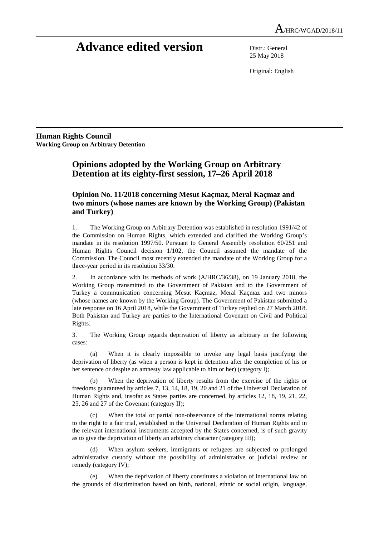# **Advance edited version** Distr.: General

25 May 2018

Original: English

**Human Rights Council Working Group on Arbitrary Detention** 

# **Opinions adopted by the Working Group on Arbitrary Detention at its eighty-first session, 17–26 April 2018**

# **Opinion No. 11/2018 concerning Mesut Kaçmaz, Meral Kaçmaz and two minors (whose names are known by the Working Group) (Pakistan and Turkey)**

1. The Working Group on Arbitrary Detention was established in resolution 1991/42 of the Commission on Human Rights, which extended and clarified the Working Group's mandate in its resolution 1997/50. Pursuant to General Assembly resolution 60/251 and Human Rights Council decision 1/102, the Council assumed the mandate of the Commission. The Council most recently extended the mandate of the Working Group for a three-year period in its resolution 33/30.

2. In accordance with its methods of work (A/HRC/36/38), on 19 January 2018, the Working Group transmitted to the Government of Pakistan and to the Government of Turkey a communication concerning Mesut Kaçmaz, Meral Kaçmaz and two minors (whose names are known by the Working Group). The Government of Pakistan submitted a late response on 16 April 2018, while the Government of Turkey replied on 27 March 2018. Both Pakistan and Turkey are parties to the International Covenant on Civil and Political Rights.

3. The Working Group regards deprivation of liberty as arbitrary in the following cases:

 (a) When it is clearly impossible to invoke any legal basis justifying the deprivation of liberty (as when a person is kept in detention after the completion of his or her sentence or despite an amnesty law applicable to him or her) (category I);

When the deprivation of liberty results from the exercise of the rights or freedoms guaranteed by articles 7, 13, 14, 18, 19, 20 and 21 of the Universal Declaration of Human Rights and, insofar as States parties are concerned, by articles 12, 18, 19, 21, 22, 25, 26 and 27 of the Covenant (category II);

 (c) When the total or partial non-observance of the international norms relating to the right to a fair trial, established in the Universal Declaration of Human Rights and in the relevant international instruments accepted by the States concerned, is of such gravity as to give the deprivation of liberty an arbitrary character (category III);

When asylum seekers, immigrants or refugees are subjected to prolonged administrative custody without the possibility of administrative or judicial review or remedy (category IV);

 (e) When the deprivation of liberty constitutes a violation of international law on the grounds of discrimination based on birth, national, ethnic or social origin, language,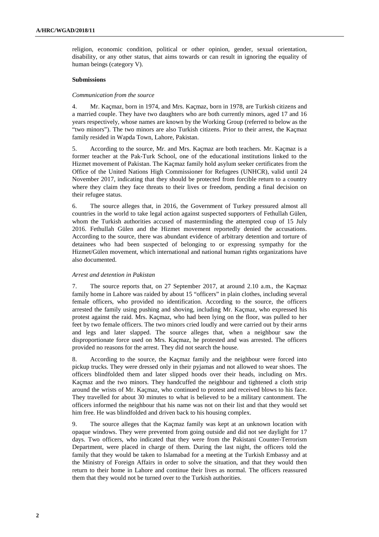religion, economic condition, political or other opinion, gender, sexual orientation, disability, or any other status, that aims towards or can result in ignoring the equality of human beings (category V).

# **Submissions**

## *Communication from the source*

4. Mr. Kaçmaz, born in 1974, and Mrs. Kaçmaz, born in 1978, are Turkish citizens and a married couple. They have two daughters who are both currently minors, aged 17 and 16 years respectively, whose names are known by the Working Group (referred to below as the "two minors"). The two minors are also Turkish citizens. Prior to their arrest, the Kaçmaz family resided in Wapda Town, Lahore, Pakistan.

5. According to the source, Mr. and Mrs. Kaçmaz are both teachers. Mr. Kaçmaz is a former teacher at the Pak-Turk School, one of the educational institutions linked to the Hizmet movement of Pakistan. The Kaçmaz family hold asylum seeker certificates from the Office of the United Nations High Commissioner for Refugees (UNHCR), valid until 24 November 2017, indicating that they should be protected from forcible return to a country where they claim they face threats to their lives or freedom, pending a final decision on their refugee status.

6. The source alleges that, in 2016, the Government of Turkey pressured almost all countries in the world to take legal action against suspected supporters of Fethullah Gülen, whom the Turkish authorities accused of masterminding the attempted coup of 15 July 2016. Fethullah Gülen and the Hizmet movement reportedly denied the accusations. According to the source, there was abundant evidence of arbitrary detention and torture of detainees who had been suspected of belonging to or expressing sympathy for the Hizmet/Gülen movement, which international and national human rights organizations have also documented.

# *Arrest and detention in Pakistan*

7. The source reports that, on 27 September 2017, at around 2.10 a.m., the Kaçmaz family home in Lahore was raided by about 15 "officers" in plain clothes, including several female officers, who provided no identification. According to the source, the officers arrested the family using pushing and shoving, including Mr. Kaçmaz, who expressed his protest against the raid. Mrs. Kaçmaz, who had been lying on the floor, was pulled to her feet by two female officers. The two minors cried loudly and were carried out by their arms and legs and later slapped. The source alleges that, when a neighbour saw the disproportionate force used on Mrs. Kaçmaz, he protested and was arrested. The officers provided no reasons for the arrest. They did not search the house.

8. According to the source, the Kaçmaz family and the neighbour were forced into pickup trucks. They were dressed only in their pyjamas and not allowed to wear shoes. The officers blindfolded them and later slipped hoods over their heads, including on Mrs. Kaçmaz and the two minors. They handcuffed the neighbour and tightened a cloth strip around the wrists of Mr. Kaçmaz, who continued to protest and received blows to his face. They travelled for about 30 minutes to what is believed to be a military cantonment. The officers informed the neighbour that his name was not on their list and that they would set him free. He was blindfolded and driven back to his housing complex.

9. The source alleges that the Kaçmaz family was kept at an unknown location with opaque windows. They were prevented from going outside and did not see daylight for 17 days. Two officers, who indicated that they were from the Pakistani Counter-Terrorism Department, were placed in charge of them. During the last night, the officers told the family that they would be taken to Islamabad for a meeting at the Turkish Embassy and at the Ministry of Foreign Affairs in order to solve the situation, and that they would then return to their home in Lahore and continue their lives as normal. The officers reassured them that they would not be turned over to the Turkish authorities.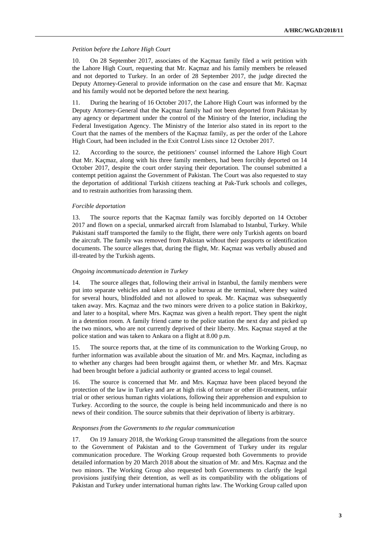#### *Petition before the Lahore High Court*

10. On 28 September 2017, associates of the Kaçmaz family filed a writ petition with the Lahore High Court, requesting that Mr. Kaçmaz and his family members be released and not deported to Turkey. In an order of 28 September 2017, the judge directed the Deputy Attorney-General to provide information on the case and ensure that Mr. Kaçmaz and his family would not be deported before the next hearing.

11. During the hearing of 16 October 2017, the Lahore High Court was informed by the Deputy Attorney-General that the Kaçmaz family had not been deported from Pakistan by any agency or department under the control of the Ministry of the Interior, including the Federal Investigation Agency. The Ministry of the Interior also stated in its report to the Court that the names of the members of the Kaçmaz family, as per the order of the Lahore High Court, had been included in the Exit Control Lists since 12 October 2017.

12. According to the source, the petitioners' counsel informed the Lahore High Court that Mr. Kaçmaz, along with his three family members, had been forcibly deported on 14 October 2017, despite the court order staying their deportation. The counsel submitted a contempt petition against the Government of Pakistan. The Court was also requested to stay the deportation of additional Turkish citizens teaching at Pak-Turk schools and colleges, and to restrain authorities from harassing them.

## *Forcible deportation*

13. The source reports that the Kaçmaz family was forcibly deported on 14 October 2017 and flown on a special, unmarked aircraft from Islamabad to Istanbul, Turkey. While Pakistani staff transported the family to the flight, there were only Turkish agents on board the aircraft. The family was removed from Pakistan without their passports or identification documents. The source alleges that, during the flight, Mr. Kaçmaz was verbally abused and ill-treated by the Turkish agents.

#### *Ongoing incommunicado detention in Turkey*

14. The source alleges that, following their arrival in Istanbul, the family members were put into separate vehicles and taken to a police bureau at the terminal, where they waited for several hours, blindfolded and not allowed to speak. Mr. Kaçmaz was subsequently taken away. Mrs. Kaçmaz and the two minors were driven to a police station in Bakirkoy, and later to a hospital, where Mrs. Kaçmaz was given a health report. They spent the night in a detention room. A family friend came to the police station the next day and picked up the two minors, who are not currently deprived of their liberty. Mrs. Kaçmaz stayed at the police station and was taken to Ankara on a flight at 8.00 p.m.

15. The source reports that, at the time of its communication to the Working Group, no further information was available about the situation of Mr. and Mrs. Kaçmaz, including as to whether any charges had been brought against them, or whether Mr. and Mrs. Kaçmaz had been brought before a judicial authority or granted access to legal counsel.

16. The source is concerned that Mr. and Mrs. Kaçmaz have been placed beyond the protection of the law in Turkey and are at high risk of torture or other ill-treatment, unfair trial or other serious human rights violations, following their apprehension and expulsion to Turkey. According to the source, the couple is being held incommunicado and there is no news of their condition. The source submits that their deprivation of liberty is arbitrary.

#### *Responses from the Governments to the regular communication*

17. On 19 January 2018, the Working Group transmitted the allegations from the source to the Government of Pakistan and to the Government of Turkey under its regular communication procedure. The Working Group requested both Governments to provide detailed information by 20 March 2018 about the situation of Mr. and Mrs. Kaçmaz and the two minors. The Working Group also requested both Governments to clarify the legal provisions justifying their detention, as well as its compatibility with the obligations of Pakistan and Turkey under international human rights law. The Working Group called upon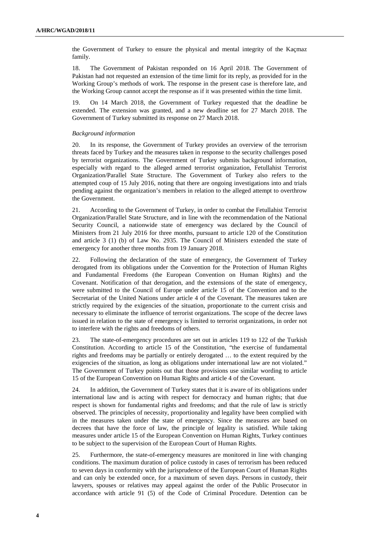the Government of Turkey to ensure the physical and mental integrity of the Kaçmaz family.

18. The Government of Pakistan responded on 16 April 2018. The Government of Pakistan had not requested an extension of the time limit for its reply, as provided for in the Working Group's methods of work. The response in the present case is therefore late, and the Working Group cannot accept the response as if it was presented within the time limit.

19. On 14 March 2018, the Government of Turkey requested that the deadline be extended. The extension was granted, and a new deadline set for 27 March 2018. The Government of Turkey submitted its response on 27 March 2018.

#### *Background information*

20. In its response, the Government of Turkey provides an overview of the terrorism threats faced by Turkey and the measures taken in response to the security challenges posed by terrorist organizations. The Government of Turkey submits background information, especially with regard to the alleged armed terrorist organization, Fetullahist Terrorist Organization/Parallel State Structure. The Government of Turkey also refers to the attempted coup of 15 July 2016, noting that there are ongoing investigations into and trials pending against the organization's members in relation to the alleged attempt to overthrow the Government.

21. According to the Government of Turkey, in order to combat the Fetullahist Terrorist Organization/Parallel State Structure, and in line with the recommendation of the National Security Council, a nationwide state of emergency was declared by the Council of Ministers from 21 July 2016 for three months, pursuant to article 120 of the Constitution and article 3 (1) (b) of Law No. 2935. The Council of Ministers extended the state of emergency for another three months from 19 January 2018.

22. Following the declaration of the state of emergency, the Government of Turkey derogated from its obligations under the Convention for the Protection of Human Rights and Fundamental Freedoms (the European Convention on Human Rights) and the Covenant. Notification of that derogation, and the extensions of the state of emergency, were submitted to the Council of Europe under article 15 of the Convention and to the Secretariat of the United Nations under article 4 of the Covenant. The measures taken are strictly required by the exigencies of the situation, proportionate to the current crisis and necessary to eliminate the influence of terrorist organizations. The scope of the decree laws issued in relation to the state of emergency is limited to terrorist organizations, in order not to interfere with the rights and freedoms of others.

23. The state-of-emergency procedures are set out in articles 119 to 122 of the Turkish Constitution. According to article 15 of the Constitution, "the exercise of fundamental rights and freedoms may be partially or entirely derogated … to the extent required by the exigencies of the situation, as long as obligations under international law are not violated." The Government of Turkey points out that those provisions use similar wording to article 15 of the European Convention on Human Rights and article 4 of the Covenant.

24. In addition, the Government of Turkey states that it is aware of its obligations under international law and is acting with respect for democracy and human rights; that due respect is shown for fundamental rights and freedoms; and that the rule of law is strictly observed. The principles of necessity, proportionality and legality have been complied with in the measures taken under the state of emergency. Since the measures are based on decrees that have the force of law, the principle of legality is satisfied. While taking measures under article 15 of the European Convention on Human Rights, Turkey continues to be subject to the supervision of the European Court of Human Rights.

25. Furthermore, the state-of-emergency measures are monitored in line with changing conditions. The maximum duration of police custody in cases of terrorism has been reduced to seven days in conformity with the jurisprudence of the European Court of Human Rights and can only be extended once, for a maximum of seven days. Persons in custody, their lawyers, spouses or relatives may appeal against the order of the Public Prosecutor in accordance with article 91 (5) of the Code of Criminal Procedure. Detention can be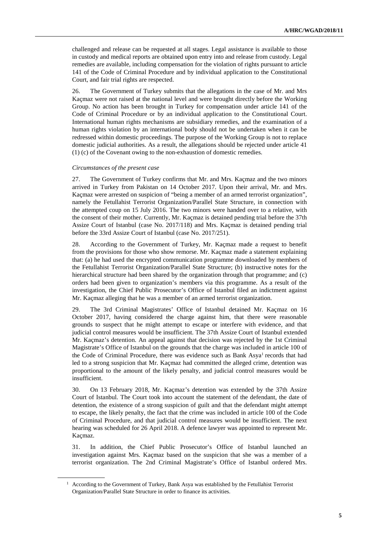challenged and release can be requested at all stages. Legal assistance is available to those in custody and medical reports are obtained upon entry into and release from custody. Legal remedies are available, including compensation for the violation of rights pursuant to article 141 of the Code of Criminal Procedure and by individual application to the Constitutional Court, and fair trial rights are respected.

26. The Government of Turkey submits that the allegations in the case of Mr. and Mrs Kaçmaz were not raised at the national level and were brought directly before the Working Group. No action has been brought in Turkey for compensation under article 141 of the Code of Criminal Procedure or by an individual application to the Constitutional Court. International human rights mechanisms are subsidiary remedies, and the examination of a human rights violation by an international body should not be undertaken when it can be redressed within domestic proceedings. The purpose of the Working Group is not to replace domestic judicial authorities. As a result, the allegations should be rejected under article 41 (1) (c) of the Covenant owing to the non-exhaustion of domestic remedies.

#### *Circumstances of the present case*

 $\overline{a}$ 

27. The Government of Turkey confirms that Mr. and Mrs. Kaçmaz and the two minors arrived in Turkey from Pakistan on 14 October 2017. Upon their arrival, Mr. and Mrs. Kaçmaz were arrested on suspicion of "being a member of an armed terrorist organization", namely the Fetullahist Terrorist Organization/Parallel State Structure, in connection with the attempted coup on 15 July 2016. The two minors were handed over to a relative, with the consent of their mother. Currently, Mr. Kaçmaz is detained pending trial before the 37th Assize Court of Istanbul (case No. 2017/118) and Mrs. Kaçmaz is detained pending trial before the 33rd Assize Court of Istanbul (case No. 2017/251).

28. According to the Government of Turkey, Mr. Kaçmaz made a request to benefit from the provisions for those who show remorse. Mr. Kaçmaz made a statement explaining that: (a) he had used the encrypted communication programme downloaded by members of the Fetullahist Terrorist Organization/Parallel State Structure; (b) instructive notes for the hierarchical structure had been shared by the organization through that programme; and (c) orders had been given to organization's members via this programme. As a result of the investigation, the Chief Public Prosecutor's Office of Istanbul filed an indictment against Mr. Kaçmaz alleging that he was a member of an armed terrorist organization.

29. The 3rd Criminal Magistrates' Office of Istanbul detained Mr. Kaçmaz on 16 October 2017, having considered the charge against him, that there were reasonable grounds to suspect that he might attempt to escape or interfere with evidence, and that judicial control measures would be insufficient. The 37th Assize Court of Istanbul extended Mr. Kaçmaz's detention. An appeal against that decision was rejected by the 1st Criminal Magistrate's Office of Istanbul on the grounds that the charge was included in article 100 of the Code of Criminal Procedure, there was evidence such as Bank Asya<sup>1</sup> records that had led to a strong suspicion that Mr. Kaçmaz had committed the alleged crime, detention was proportional to the amount of the likely penalty, and judicial control measures would be insufficient.

30. On 13 February 2018, Mr. Kaçmaz's detention was extended by the 37th Assize Court of Istanbul. The Court took into account the statement of the defendant, the date of detention, the existence of a strong suspicion of guilt and that the defendant might attempt to escape, the likely penalty, the fact that the crime was included in article 100 of the Code of Criminal Procedure, and that judicial control measures would be insufficient. The next hearing was scheduled for 26 April 2018. A defence lawyer was appointed to represent Mr. Kaçmaz.

31. In addition, the Chief Public Prosecutor's Office of Istanbul launched an investigation against Mrs. Kaçmaz based on the suspicion that she was a member of a terrorist organization. The 2nd Criminal Magistrate's Office of Istanbul ordered Mrs.

<sup>&</sup>lt;sup>1</sup> According to the Government of Turkey, Bank Asya was established by the Fetullahist Terrorist Organization/Parallel State Structure in order to finance its activities.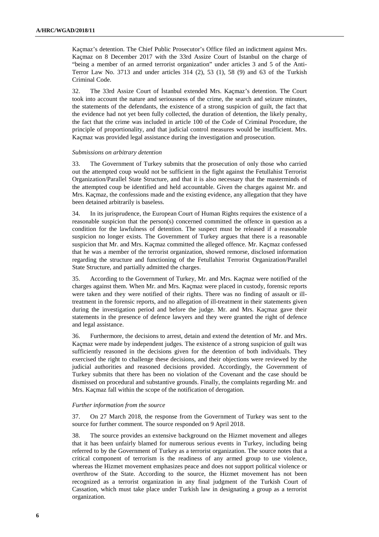Kaçmaz's detention. The Chief Public Prosecutor's Office filed an indictment against Mrs. Kaçmaz on 8 December 2017 with the 33rd Assize Court of Istanbul on the charge of "being a member of an armed terrorist organization" under articles 3 and 5 of the Anti-Terror Law No. 3713 and under articles 314 (2), 53 (1), 58 (9) and 63 of the Turkish Criminal Code.

32. The 33rd Assize Court of İstanbul extended Mrs. Kaçmaz's detention. The Court took into account the nature and seriousness of the crime, the search and seizure minutes, the statements of the defendants, the existence of a strong suspicion of guilt, the fact that the evidence had not yet been fully collected, the duration of detention, the likely penalty, the fact that the crime was included in article 100 of the Code of Criminal Procedure, the principle of proportionality, and that judicial control measures would be insufficient. Mrs. Kaçmaz was provided legal assistance during the investigation and prosecution.

#### *Submissions on arbitrary detention*

33. The Government of Turkey submits that the prosecution of only those who carried out the attempted coup would not be sufficient in the fight against the Fetullahist Terrorist Organization/Parallel State Structure, and that it is also necessary that the masterminds of the attempted coup be identified and held accountable. Given the charges against Mr. and Mrs. Kaçmaz, the confessions made and the existing evidence, any allegation that they have been detained arbitrarily is baseless.

34. In its jurisprudence, the European Court of Human Rights requires the existence of a reasonable suspicion that the person(s) concerned committed the offence in question as a condition for the lawfulness of detention. The suspect must be released if a reasonable suspicion no longer exists. The Government of Turkey argues that there is a reasonable suspicion that Mr. and Mrs. Kaçmaz committed the alleged offence. Mr. Kaçmaz confessed that he was a member of the terrorist organization, showed remorse, disclosed information regarding the structure and functioning of the Fetullahist Terrorist Organization/Parallel State Structure, and partially admitted the charges.

35. According to the Government of Turkey, Mr. and Mrs. Kaçmaz were notified of the charges against them. When Mr. and Mrs. Kaçmaz were placed in custody, forensic reports were taken and they were notified of their rights. There was no finding of assault or illtreatment in the forensic reports, and no allegation of ill-treatment in their statements given during the investigation period and before the judge. Mr. and Mrs. Kaçmaz gave their statements in the presence of defence lawyers and they were granted the right of defence and legal assistance.

36. Furthermore, the decisions to arrest, detain and extend the detention of Mr. and Mrs. Kaçmaz were made by independent judges. The existence of a strong suspicion of guilt was sufficiently reasoned in the decisions given for the detention of both individuals. They exercised the right to challenge these decisions, and their objections were reviewed by the judicial authorities and reasoned decisions provided. Accordingly, the Government of Turkey submits that there has been no violation of the Covenant and the case should be dismissed on procedural and substantive grounds. Finally, the complaints regarding Mr. and Mrs. Kaçmaz fall within the scope of the notification of derogation.

#### *Further information from the source*

37. On 27 March 2018, the response from the Government of Turkey was sent to the source for further comment. The source responded on 9 April 2018.

38. The source provides an extensive background on the Hizmet movement and alleges that it has been unfairly blamed for numerous serious events in Turkey, including being referred to by the Government of Turkey as a terrorist organization. The source notes that a critical component of terrorism is the readiness of any armed group to use violence, whereas the Hizmet movement emphasizes peace and does not support political violence or overthrow of the State. According to the source, the Hizmet movement has not been recognized as a terrorist organization in any final judgment of the Turkish Court of Cassation, which must take place under Turkish law in designating a group as a terrorist organization.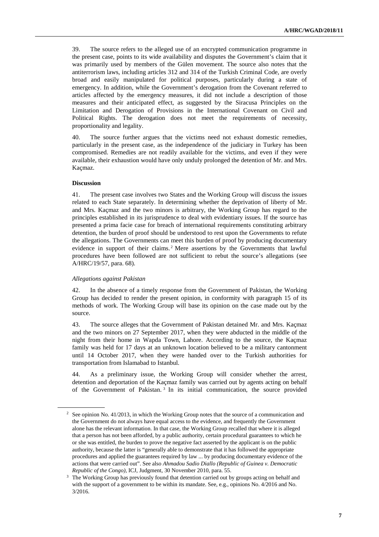39. The source refers to the alleged use of an encrypted communication programme in the present case, points to its wide availability and disputes the Government's claim that it was primarily used by members of the Gülen movement. The source also notes that the antiterrorism laws, including articles 312 and 314 of the Turkish Criminal Code, are overly broad and easily manipulated for political purposes, particularly during a state of emergency. In addition, while the Government's derogation from the Covenant referred to articles affected by the emergency measures, it did not include a description of those measures and their anticipated effect, as suggested by the Siracusa Principles on the Limitation and Derogation of Provisions in the International Covenant on Civil and Political Rights. The derogation does not meet the requirements of necessity, proportionality and legality.

40. The source further argues that the victims need not exhaust domestic remedies, particularly in the present case, as the independence of the judiciary in Turkey has been compromised. Remedies are not readily available for the victims, and even if they were available, their exhaustion would have only unduly prolonged the detention of Mr. and Mrs. Kaçmaz.

#### **Discussion**

 $\overline{a}$ 

41. The present case involves two States and the Working Group will discuss the issues related to each State separately. In determining whether the deprivation of liberty of Mr. and Mrs. Kaçmaz and the two minors is arbitrary, the Working Group has regard to the principles established in its jurisprudence to deal with evidentiary issues. If the source has presented a prima facie case for breach of international requirements constituting arbitrary detention, the burden of proof should be understood to rest upon the Governments to refute the allegations. The Governments can meet this burden of proof by producing documentary evidence in support of their claims.<sup>2</sup> Mere assertions by the Governments that lawful procedures have been followed are not sufficient to rebut the source's allegations (see A/HRC/19/57, para. 68).

#### *Allegations against Pakistan*

42. In the absence of a timely response from the Government of Pakistan, the Working Group has decided to render the present opinion, in conformity with paragraph 15 of its methods of work. The Working Group will base its opinion on the case made out by the source.

43. The source alleges that the Government of Pakistan detained Mr. and Mrs. Kaçmaz and the two minors on 27 September 2017, when they were abducted in the middle of the night from their home in Wapda Town, Lahore. According to the source, the Kaçmaz family was held for 17 days at an unknown location believed to be a military cantonment until 14 October 2017, when they were handed over to the Turkish authorities for transportation from Islamabad to Istanbul.

44. As a preliminary issue, the Working Group will consider whether the arrest, detention and deportation of the Kaçmaz family was carried out by agents acting on behalf of the Government of Pakistan. <sup>3</sup> In its initial communication, the source provided

<sup>&</sup>lt;sup>2</sup> See opinion No. 41/2013, in which the Working Group notes that the source of a communication and the Government do not always have equal access to the evidence, and frequently the Government alone has the relevant information. In that case, the Working Group recalled that where it is alleged that a person has not been afforded, by a public authority, certain procedural guarantees to which he or she was entitled, the burden to prove the negative fact asserted by the applicant is on the public authority, because the latter is "generally able to demonstrate that it has followed the appropriate procedures and applied the guarantees required by law ... by producing documentary evidence of the actions that were carried out". See also *Ahmadou Sadio Diallo (Republic of Guinea v. Democratic Republic of the Congo)*, ICJ, Judgment, 30 November 2010, para. 55.

<sup>&</sup>lt;sup>3</sup> The Working Group has previously found that detention carried out by groups acting on behalf and with the support of a government to be within its mandate. See, e.g., opinions No. 4/2016 and No. 3/2016.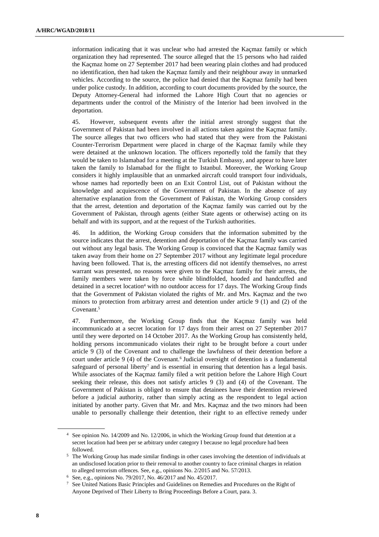information indicating that it was unclear who had arrested the Kaçmaz family or which organization they had represented. The source alleged that the 15 persons who had raided the Kaçmaz home on 27 September 2017 had been wearing plain clothes and had produced no identification, then had taken the Kaçmaz family and their neighbour away in unmarked vehicles. According to the source, the police had denied that the Kaçmaz family had been under police custody. In addition, according to court documents provided by the source, the Deputy Attorney-General had informed the Lahore High Court that no agencies or departments under the control of the Ministry of the Interior had been involved in the deportation.

45. However, subsequent events after the initial arrest strongly suggest that the Government of Pakistan had been involved in all actions taken against the Kaçmaz family. The source alleges that two officers who had stated that they were from the Pakistani Counter-Terrorism Department were placed in charge of the Kaçmaz family while they were detained at the unknown location. The officers reportedly told the family that they would be taken to Islamabad for a meeting at the Turkish Embassy, and appear to have later taken the family to Islamabad for the flight to Istanbul. Moreover, the Working Group considers it highly implausible that an unmarked aircraft could transport four individuals, whose names had reportedly been on an Exit Control List, out of Pakistan without the knowledge and acquiescence of the Government of Pakistan. In the absence of any alternative explanation from the Government of Pakistan, the Working Group considers that the arrest, detention and deportation of the Kaçmaz family was carried out by the Government of Pakistan, through agents (either State agents or otherwise) acting on its behalf and with its support, and at the request of the Turkish authorities.

46. In addition, the Working Group considers that the information submitted by the source indicates that the arrest, detention and deportation of the Kaçmaz family was carried out without any legal basis. The Working Group is convinced that the Kaçmaz family was taken away from their home on 27 September 2017 without any legitimate legal procedure having been followed. That is, the arresting officers did not identify themselves, no arrest warrant was presented, no reasons were given to the Kaçmaz family for their arrests, the family members were taken by force while blindfolded, hooded and handcuffed and detained in a secret location<sup>4</sup> with no outdoor access for 17 days. The Working Group finds that the Government of Pakistan violated the rights of Mr. and Mrs. Kaçmaz and the two minors to protection from arbitrary arrest and detention under article 9 (1) and (2) of the Covenant.<sup>5</sup>

47. Furthermore, the Working Group finds that the Kaçmaz family was held incommunicado at a secret location for 17 days from their arrest on 27 September 2017 until they were deported on 14 October 2017. As the Working Group has consistently held, holding persons incommunicado violates their right to be brought before a court under article 9 (3) of the Covenant and to challenge the lawfulness of their detention before a court under article 9 (4) of the Covenant.<sup>6</sup> Judicial oversight of detention is a fundamental safeguard of personal liberty<sup>7</sup> and is essential in ensuring that detention has a legal basis. While associates of the Kaçmaz family filed a writ petition before the Lahore High Court seeking their release, this does not satisfy articles 9 (3) and (4) of the Covenant. The Government of Pakistan is obliged to ensure that detainees have their detention reviewed before a judicial authority, rather than simply acting as the respondent to legal action initiated by another party. Given that Mr. and Mrs. Kaçmaz and the two minors had been unable to personally challenge their detention, their right to an effective remedy under

<sup>4</sup> See opinion No. 14/2009 and No. 12/2006, in which the Working Group found that detention at a secret location had been per se arbitrary under category I because no legal procedure had been followed.

<sup>&</sup>lt;sup>5</sup> The Working Group has made similar findings in other cases involving the detention of individuals at an undisclosed location prior to their removal to another country to face criminal charges in relation to alleged terrorism offences. See, e.g., opinions No. 2/2015 and No. 57/2013.

<sup>6</sup> See, e.g., opinions No. 79/2017, No. 46/2017 and No. 45/2017.

<sup>7</sup> See United Nations Basic Principles and Guidelines on Remedies and Procedures on the Right of Anyone Deprived of Their Liberty to Bring Proceedings Before a Court, para. 3.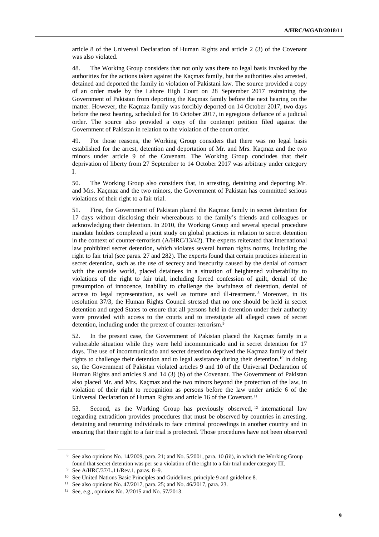article 8 of the Universal Declaration of Human Rights and article 2 (3) of the Covenant was also violated.

48. The Working Group considers that not only was there no legal basis invoked by the authorities for the actions taken against the Kaçmaz family, but the authorities also arrested, detained and deported the family in violation of Pakistani law. The source provided a copy of an order made by the Lahore High Court on 28 September 2017 restraining the Government of Pakistan from deporting the Kaçmaz family before the next hearing on the matter. However, the Kaçmaz family was forcibly deported on 14 October 2017, two days before the next hearing, scheduled for 16 October 2017, in egregious defiance of a judicial order. The source also provided a copy of the contempt petition filed against the Government of Pakistan in relation to the violation of the court order.

49. For those reasons, the Working Group considers that there was no legal basis established for the arrest, detention and deportation of Mr. and Mrs. Kaçmaz and the two minors under article 9 of the Covenant. The Working Group concludes that their deprivation of liberty from 27 September to 14 October 2017 was arbitrary under category I.

50. The Working Group also considers that, in arresting, detaining and deporting Mr. and Mrs. Kaçmaz and the two minors, the Government of Pakistan has committed serious violations of their right to a fair trial.

51. First, the Government of Pakistan placed the Kaçmaz family in secret detention for 17 days without disclosing their whereabouts to the family's friends and colleagues or acknowledging their detention. In 2010, the Working Group and several special procedure mandate holders completed a joint study on global practices in relation to secret detention in the context of counter-terrorism (A/HRC/13/42). The experts reiterated that international law prohibited secret detention, which violates several human rights norms, including the right to fair trial (see paras. 27 and 282). The experts found that certain practices inherent in secret detention, such as the use of secrecy and insecurity caused by the denial of contact with the outside world, placed detainees in a situation of heightened vulnerability to violations of the right to fair trial, including forced confession of guilt, denial of the presumption of innocence, inability to challenge the lawfulness of detention, denial of access to legal representation, as well as torture and ill-treatment. <sup>8</sup> Moreover, in its resolution 37/3, the Human Rights Council stressed that no one should be held in secret detention and urged States to ensure that all persons held in detention under their authority were provided with access to the courts and to investigate all alleged cases of secret detention, including under the pretext of counter-terrorism.<sup>9</sup>

52. In the present case, the Government of Pakistan placed the Kaçmaz family in a vulnerable situation while they were held incommunicado and in secret detention for 17 days. The use of incommunicado and secret detention deprived the Kaçmaz family of their rights to challenge their detention and to legal assistance during their detention.10 In doing so, the Government of Pakistan violated articles 9 and 10 of the Universal Declaration of Human Rights and articles 9 and 14 (3) (b) of the Covenant. The Government of Pakistan also placed Mr. and Mrs. Kaçmaz and the two minors beyond the protection of the law, in violation of their right to recognition as persons before the law under article 6 of the Universal Declaration of Human Rights and article 16 of the Covenant.<sup>11</sup>

53. Second, as the Working Group has previously observed,  $12$  international law regarding extradition provides procedures that must be observed by countries in arresting, detaining and returning individuals to face criminal proceedings in another country and in ensuring that their right to a fair trial is protected. Those procedures have not been observed

<sup>8</sup> See also opinions No. 14/2009, para. 21; and No. 5/2001, para. 10 (iii), in which the Working Group found that secret detention was per se a violation of the right to a fair trial under category III.

<sup>9</sup> See A/HRC/37/L.11/Rev.1, paras. 8–9.

<sup>&</sup>lt;sup>10</sup> See United Nations Basic Principles and Guidelines, principle 9 and guideline 8.

<sup>11</sup> See also opinions No. 47/2017, para. 25; and No. 46/2017, para. 23.

<sup>12</sup> See, e.g., opinions No. 2/2015 and No. 57/2013.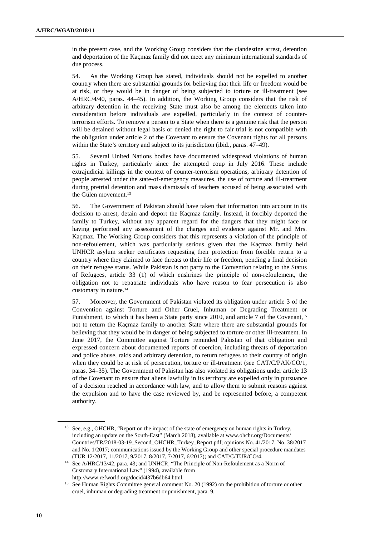in the present case, and the Working Group considers that the clandestine arrest, detention and deportation of the Kaçmaz family did not meet any minimum international standards of due process.

54. As the Working Group has stated, individuals should not be expelled to another country when there are substantial grounds for believing that their life or freedom would be at risk, or they would be in danger of being subjected to torture or ill-treatment (see A/HRC/4/40, paras. 44–45). In addition, the Working Group considers that the risk of arbitrary detention in the receiving State must also be among the elements taken into consideration before individuals are expelled, particularly in the context of counterterrorism efforts. To remove a person to a State when there is a genuine risk that the person will be detained without legal basis or denied the right to fair trial is not compatible with the obligation under article 2 of the Covenant to ensure the Covenant rights for all persons within the State's territory and subject to its jurisdiction (ibid., paras. 47–49).

55. Several United Nations bodies have documented widespread violations of human rights in Turkey, particularly since the attempted coup in July 2016. These include extrajudicial killings in the context of counter-terrorism operations, arbitrary detention of people arrested under the state-of-emergency measures, the use of torture and ill-treatment during pretrial detention and mass dismissals of teachers accused of being associated with the Gülen movement.<sup>13</sup>

56. The Government of Pakistan should have taken that information into account in its decision to arrest, detain and deport the Kaçmaz family. Instead, it forcibly deported the family to Turkey, without any apparent regard for the dangers that they might face or having performed any assessment of the charges and evidence against Mr. and Mrs. Kaçmaz. The Working Group considers that this represents a violation of the principle of non-refoulement, which was particularly serious given that the Kaçmaz family held UNHCR asylum seeker certificates requesting their protection from forcible return to a country where they claimed to face threats to their life or freedom, pending a final decision on their refugee status. While Pakistan is not party to the Convention relating to the Status of Refugees, article 33 (1) of which enshrines the principle of non-refoulement, the obligation not to repatriate individuals who have reason to fear persecution is also customary in nature.<sup>14</sup>

57. Moreover, the Government of Pakistan violated its obligation under article 3 of the Convention against Torture and Other Cruel, Inhuman or Degrading Treatment or Punishment, to which it has been a State party since 2010, and article 7 of the Covenant,<sup>15</sup> not to return the Kaçmaz family to another State where there are substantial grounds for believing that they would be in danger of being subjected to torture or other ill-treatment. In June 2017, the Committee against Torture reminded Pakistan of that obligation and expressed concern about documented reports of coercion, including threats of deportation and police abuse, raids and arbitrary detention, to return refugees to their country of origin when they could be at risk of persecution, torture or ill-treatment (see CAT/C/PAK/CO/1, paras. 34–35). The Government of Pakistan has also violated its obligations under article 13 of the Covenant to ensure that aliens lawfully in its territory are expelled only in pursuance of a decision reached in accordance with law, and to allow them to submit reasons against the expulsion and to have the case reviewed by, and be represented before, a competent authority.

<sup>&</sup>lt;sup>13</sup> See, e.g., OHCHR, "Report on the impact of the state of emergency on human rights in Turkey, including an update on the South-East" (March 2018), available at www.ohchr.org/Documents/ Countries/TR/2018-03-19\_Second\_OHCHR\_Turkey\_Report.pdf; opinions No. 41/2017, No. 38/2017 and No. 1/2017; communications issued by the Working Group and other special procedure mandates (TUR 12/2017, 11/2017, 9/2017, 8/2017, 7/2017, 6/2017); and CAT/C/TUR/CO/4.

<sup>&</sup>lt;sup>14</sup> See A/HRC/13/42, para. 43; and UNHCR, "The Principle of Non-Refoulement as a Norm of Customary International Law" (1994), available from http://www.refworld.org/docid/437b6db64.html.

<sup>&</sup>lt;sup>15</sup> See Human Rights Committee general comment No. 20 (1992) on the prohibition of torture or other cruel, inhuman or degrading treatment or punishment, para. 9.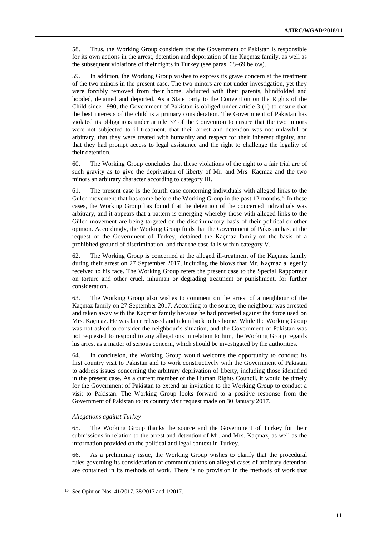58. Thus, the Working Group considers that the Government of Pakistan is responsible for its own actions in the arrest, detention and deportation of the Kaçmaz family, as well as the subsequent violations of their rights in Turkey (see paras. 68–69 below).

59. In addition, the Working Group wishes to express its grave concern at the treatment of the two minors in the present case. The two minors are not under investigation, yet they were forcibly removed from their home, abducted with their parents, blindfolded and hooded, detained and deported. As a State party to the Convention on the Rights of the Child since 1990, the Government of Pakistan is obliged under article 3 (1) to ensure that the best interests of the child is a primary consideration. The Government of Pakistan has violated its obligations under article 37 of the Convention to ensure that the two minors were not subjected to ill-treatment, that their arrest and detention was not unlawful or arbitrary, that they were treated with humanity and respect for their inherent dignity, and that they had prompt access to legal assistance and the right to challenge the legality of their detention.

60. The Working Group concludes that these violations of the right to a fair trial are of such gravity as to give the deprivation of liberty of Mr. and Mrs. Kaçmaz and the two minors an arbitrary character according to category III.

61. The present case is the fourth case concerning individuals with alleged links to the Gülen movement that has come before the Working Group in the past 12 months.<sup>16</sup> In these cases, the Working Group has found that the detention of the concerned individuals was arbitrary, and it appears that a pattern is emerging whereby those with alleged links to the Gülen movement are being targeted on the discriminatory basis of their political or other opinion. Accordingly, the Working Group finds that the Government of Pakistan has, at the request of the Government of Turkey, detained the Kaçmaz family on the basis of a prohibited ground of discrimination, and that the case falls within category V.

62. The Working Group is concerned at the alleged ill-treatment of the Kaçmaz family during their arrest on 27 September 2017, including the blows that Mr. Kaçmaz allegedly received to his face. The Working Group refers the present case to the Special Rapporteur on torture and other cruel, inhuman or degrading treatment or punishment, for further consideration.

63. The Working Group also wishes to comment on the arrest of a neighbour of the Kaçmaz family on 27 September 2017. According to the source, the neighbour was arrested and taken away with the Kaçmaz family because he had protested against the force used on Mrs. Kaçmaz. He was later released and taken back to his home. While the Working Group was not asked to consider the neighbour's situation, and the Government of Pakistan was not requested to respond to any allegations in relation to him, the Working Group regards his arrest as a matter of serious concern, which should be investigated by the authorities.

64. In conclusion, the Working Group would welcome the opportunity to conduct its first country visit to Pakistan and to work constructively with the Government of Pakistan to address issues concerning the arbitrary deprivation of liberty, including those identified in the present case. As a current member of the Human Rights Council, it would be timely for the Government of Pakistan to extend an invitation to the Working Group to conduct a visit to Pakistan. The Working Group looks forward to a positive response from the Government of Pakistan to its country visit request made on 30 January 2017.

#### *Allegations against Turkey*

 $\overline{a}$ 

65. The Working Group thanks the source and the Government of Turkey for their submissions in relation to the arrest and detention of Mr. and Mrs. Kaçmaz, as well as the information provided on the political and legal context in Turkey.

66. As a preliminary issue, the Working Group wishes to clarify that the procedural rules governing its consideration of communications on alleged cases of arbitrary detention are contained in its methods of work. There is no provision in the methods of work that

<sup>16</sup> See Opinion Nos. 41/2017, 38/2017 and 1/2017.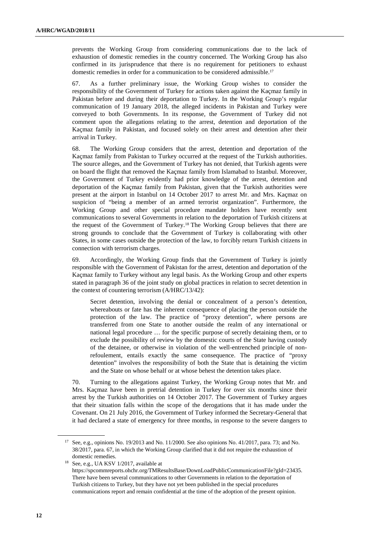prevents the Working Group from considering communications due to the lack of exhaustion of domestic remedies in the country concerned. The Working Group has also confirmed in its jurisprudence that there is no requirement for petitioners to exhaust domestic remedies in order for a communication to be considered admissible.<sup>17</sup>

67. As a further preliminary issue, the Working Group wishes to consider the responsibility of the Government of Turkey for actions taken against the Kaçmaz family in Pakistan before and during their deportation to Turkey. In the Working Group's regular communication of 19 January 2018, the alleged incidents in Pakistan and Turkey were conveyed to both Governments. In its response, the Government of Turkey did not comment upon the allegations relating to the arrest, detention and deportation of the Kaçmaz family in Pakistan, and focused solely on their arrest and detention after their arrival in Turkey.

68. The Working Group considers that the arrest, detention and deportation of the Kaçmaz family from Pakistan to Turkey occurred at the request of the Turkish authorities. The source alleges, and the Government of Turkey has not denied, that Turkish agents were on board the flight that removed the Kaçmaz family from Islamabad to Istanbul. Moreover, the Government of Turkey evidently had prior knowledge of the arrest, detention and deportation of the Kaçmaz family from Pakistan, given that the Turkish authorities were present at the airport in Istanbul on 14 October 2017 to arrest Mr. and Mrs. Kaçmaz on suspicion of "being a member of an armed terrorist organization". Furthermore, the Working Group and other special procedure mandate holders have recently sent communications to several Governments in relation to the deportation of Turkish citizens at the request of the Government of Turkey.18 The Working Group believes that there are strong grounds to conclude that the Government of Turkey is collaborating with other States, in some cases outside the protection of the law, to forcibly return Turkish citizens in connection with terrorism charges.

69. Accordingly, the Working Group finds that the Government of Turkey is jointly responsible with the Government of Pakistan for the arrest, detention and deportation of the Kaçmaz family to Turkey without any legal basis. As the Working Group and other experts stated in paragraph 36 of the joint study on global practices in relation to secret detention in the context of countering terrorism (A/HRC/13/42):

Secret detention, involving the denial or concealment of a person's detention, whereabouts or fate has the inherent consequence of placing the person outside the protection of the law. The practice of "proxy detention", where persons are transferred from one State to another outside the realm of any international or national legal procedure … for the specific purpose of secretly detaining them, or to exclude the possibility of review by the domestic courts of the State having custody of the detainee, or otherwise in violation of the well-entrenched principle of nonrefoulement, entails exactly the same consequence. The practice of "proxy detention" involves the responsibility of both the State that is detaining the victim and the State on whose behalf or at whose behest the detention takes place.

70. Turning to the allegations against Turkey, the Working Group notes that Mr. and Mrs. Kaçmaz have been in pretrial detention in Turkey for over six months since their arrest by the Turkish authorities on 14 October 2017. The Government of Turkey argues that their situation falls within the scope of the derogations that it has made under the Covenant. On 21 July 2016, the Government of Turkey informed the Secretary-General that it had declared a state of emergency for three months, in response to the severe dangers to

<sup>&</sup>lt;sup>17</sup> See, e.g., opinions No. 19/2013 and No. 11/2000. See also opinions No. 41/2017, para. 73; and No. 38/2017, para. 67, in which the Working Group clarified that it did not require the exhaustion of domestic remedies.

<sup>18</sup> See, e.g., UA KSV 1/2017, available at https://spcommreports.ohchr.org/TMResultsBase/DownLoadPublicCommunicationFile?gId=23435. There have been several communications to other Governments in relation to the deportation of Turkish citizens to Turkey, but they have not yet been published in the special procedures communications report and remain confidential at the time of the adoption of the present opinion.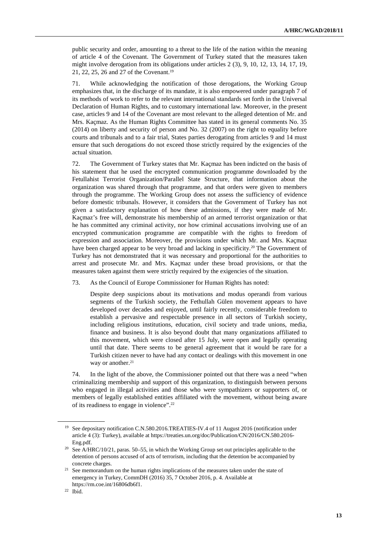public security and order, amounting to a threat to the life of the nation within the meaning of article 4 of the Covenant. The Government of Turkey stated that the measures taken might involve derogation from its obligations under articles 2 (3), 9, 10, 12, 13, 14, 17, 19, 21, 22, 25, 26 and 27 of the Covenant.<sup>19</sup>

71. While acknowledging the notification of those derogations, the Working Group emphasizes that, in the discharge of its mandate, it is also empowered under paragraph 7 of its methods of work to refer to the relevant international standards set forth in the Universal Declaration of Human Rights, and to customary international law. Moreover, in the present case, articles 9 and 14 of the Covenant are most relevant to the alleged detention of Mr. and Mrs. Kaçmaz. As the Human Rights Committee has stated in its general comments No. 35 (2014) on liberty and security of person and No. 32 (2007) on the right to equality before courts and tribunals and to a fair trial, States parties derogating from articles 9 and 14 must ensure that such derogations do not exceed those strictly required by the exigencies of the actual situation.

72. The Government of Turkey states that Mr. Kaçmaz has been indicted on the basis of his statement that he used the encrypted communication programme downloaded by the Fetullahist Terrorist Organization/Parallel State Structure, that information about the organization was shared through that programme, and that orders were given to members through the programme. The Working Group does not assess the sufficiency of evidence before domestic tribunals. However, it considers that the Government of Turkey has not given a satisfactory explanation of how these admissions, if they were made of Mr. Kaçmaz's free will, demonstrate his membership of an armed terrorist organization or that he has committed any criminal activity, nor how criminal accusations involving use of an encrypted communication programme are compatible with the rights to freedom of expression and association. Moreover, the provisions under which Mr. and Mrs. Kaçmaz have been charged appear to be very broad and lacking in specificity.<sup>20</sup> The Government of Turkey has not demonstrated that it was necessary and proportional for the authorities to arrest and prosecute Mr. and Mrs. Kaçmaz under these broad provisions, or that the measures taken against them were strictly required by the exigencies of the situation.

73. As the Council of Europe Commissioner for Human Rights has noted:

Despite deep suspicions about its motivations and modus operandi from various segments of the Turkish society, the Fethullah Gülen movement appears to have developed over decades and enjoyed, until fairly recently, considerable freedom to establish a pervasive and respectable presence in all sectors of Turkish society, including religious institutions, education, civil society and trade unions, media, finance and business. It is also beyond doubt that many organizations affiliated to this movement, which were closed after 15 July, were open and legally operating until that date. There seems to be general agreement that it would be rare for a Turkish citizen never to have had any contact or dealings with this movement in one way or another.<sup>21</sup>

74. In the light of the above, the Commissioner pointed out that there was a need "when criminalizing membership and support of this organization, to distinguish between persons who engaged in illegal activities and those who were sympathizers or supporters of, or members of legally established entities affiliated with the movement, without being aware of its readiness to engage in violence".<sup>22</sup>

<sup>&</sup>lt;sup>19</sup> See depositary notification C.N.580.2016.TREATIES-IV.4 of 11 August 2016 (notification under article 4 (3): Turkey), available at https://treaties.un.org/doc/Publication/CN/2016/CN.580.2016- Eng.pdf.

<sup>&</sup>lt;sup>20</sup> See A/HRC/10/21, paras. 50–55, in which the Working Group set out principles applicable to the detention of persons accused of acts of terrorism, including that the detention be accompanied by concrete charges.

<sup>&</sup>lt;sup>21</sup> See memorandum on the human rights implications of the measures taken under the state of emergency in Turkey, CommDH (2016) 35, 7 October 2016, p. 4. Available at https://rm.coe.int/16806db6f1.

<sup>22</sup> Ibid.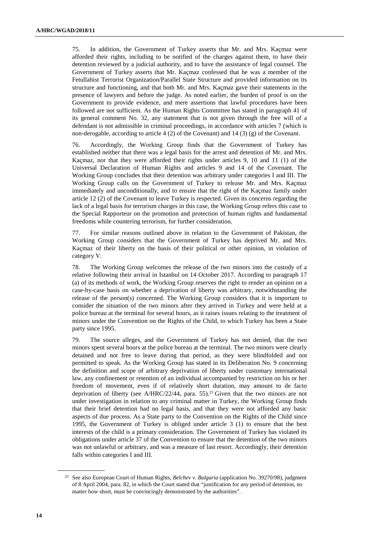75. In addition, the Government of Turkey asserts that Mr. and Mrs. Kaçmaz were afforded their rights, including to be notified of the charges against them, to have their detention reviewed by a judicial authority, and to have the assistance of legal counsel. The Government of Turkey asserts that Mr. Kaçmaz confessed that he was a member of the Fetullahist Terrorist Organization/Parallel State Structure and provided information on its structure and functioning, and that both Mr. and Mrs. Kaçmaz gave their statements in the presence of lawyers and before the judge. As noted earlier, the burden of proof is on the Government to provide evidence, and mere assertions that lawful procedures have been followed are not sufficient. As the Human Rights Committee has stated in paragraph 41 of its general comment No. 32, any statement that is not given through the free will of a defendant is not admissible in criminal proceedings, in accordance with articles 7 (which is non-derogable, according to article 4 (2) of the Covenant) and 14 (3) (g) of the Covenant.

76. Accordingly, the Working Group finds that the Government of Turkey has established neither that there was a legal basis for the arrest and detention of Mr. and Mrs. Kaçmaz, nor that they were afforded their rights under articles 9, 10 and 11 (1) of the Universal Declaration of Human Rights and articles 9 and 14 of the Covenant. The Working Group concludes that their detention was arbitrary under categories I and III. The Working Group calls on the Government of Turkey to release Mr. and Mrs. Kaçmaz immediately and unconditionally, and to ensure that the right of the Kaçmaz family under article 12 (2) of the Covenant to leave Turkey is respected. Given its concerns regarding the lack of a legal basis for terrorism charges in this case, the Working Group refers this case to the Special Rapporteur on the promotion and protection of human rights and fundamental freedoms while countering terrorism, for further consideration.

77. For similar reasons outlined above in relation to the Government of Pakistan, the Working Group considers that the Government of Turkey has deprived Mr. and Mrs. Kaçmaz of their liberty on the basis of their political or other opinion, in violation of category V.

78. The Working Group welcomes the release of the two minors into the custody of a relative following their arrival in Istanbul on 14 October 2017. According to paragraph 17 (a) of its methods of work, the Working Group reserves the right to render an opinion on a case-by-case basis on whether a deprivation of liberty was arbitrary, notwithstanding the release of the person(s) concerned. The Working Group considers that it is important to consider the situation of the two minors after they arrived in Turkey and were held at a police bureau at the terminal for several hours, as it raises issues relating to the treatment of minors under the Convention on the Rights of the Child, to which Turkey has been a State party since 1995.

79. The source alleges, and the Government of Turkey has not denied, that the two minors spent several hours at the police bureau at the terminal. The two minors were clearly detained and not free to leave during that period, as they were blindfolded and not permitted to speak. As the Working Group has stated in its Deliberation No. 9 concerning the definition and scope of arbitrary deprivation of liberty under customary international law, any confinement or retention of an individual accompanied by restriction on his or her freedom of movement, even if of relatively short duration, may amount to de facto deprivation of liberty (see A/HRC/22/44, para. 55).<sup>23</sup> Given that the two minors are not under investigation in relation to any criminal matter in Turkey, the Working Group finds that their brief detention had no legal basis, and that they were not afforded any basic aspects of due process. As a State party to the Convention on the Rights of the Child since 1995, the Government of Turkey is obliged under article 3 (1) to ensure that the best interests of the child is a primary consideration. The Government of Turkey has violated its obligations under article 37 of the Convention to ensure that the detention of the two minors was not unlawful or arbitrary, and was a measure of last resort. Accordingly, their detention falls within categories I and III.

<sup>23</sup> See also European Court of Human Rights, *Belchev v. Bulgaria* (application No. 39270/98), judgment of 8 April 2004, para. 82, in which the Court stated that "justification for any period of detention, no matter how short, must be convincingly demonstrated by the authorities".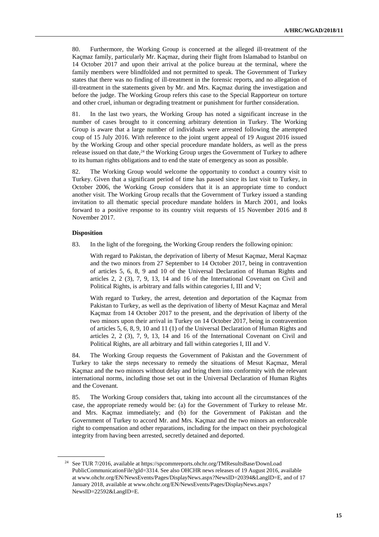80. Furthermore, the Working Group is concerned at the alleged ill-treatment of the Kaçmaz family, particularly Mr. Kaçmaz, during their flight from Islamabad to Istanbul on 14 October 2017 and upon their arrival at the police bureau at the terminal, where the family members were blindfolded and not permitted to speak. The Government of Turkey states that there was no finding of ill-treatment in the forensic reports, and no allegation of ill-treatment in the statements given by Mr. and Mrs. Kaçmaz during the investigation and before the judge. The Working Group refers this case to the Special Rapporteur on torture and other cruel, inhuman or degrading treatment or punishment for further consideration.

81. In the last two years, the Working Group has noted a significant increase in the number of cases brought to it concerning arbitrary detention in Turkey. The Working Group is aware that a large number of individuals were arrested following the attempted coup of 15 July 2016. With reference to the joint urgent appeal of 19 August 2016 issued by the Working Group and other special procedure mandate holders, as well as the press release issued on that date, $24$  the Working Group urges the Government of Turkey to adhere to its human rights obligations and to end the state of emergency as soon as possible.

82. The Working Group would welcome the opportunity to conduct a country visit to Turkey. Given that a significant period of time has passed since its last visit to Turkey, in October 2006, the Working Group considers that it is an appropriate time to conduct another visit. The Working Group recalls that the Government of Turkey issued a standing invitation to all thematic special procedure mandate holders in March 2001, and looks forward to a positive response to its country visit requests of 15 November 2016 and 8 November 2017.

#### **Disposition**

 $\overline{a}$ 

83. In the light of the foregoing, the Working Group renders the following opinion:

With regard to Pakistan, the deprivation of liberty of Mesut Kaçmaz, Meral Kaçmaz and the two minors from 27 September to 14 October 2017, being in contravention of articles 5, 6, 8, 9 and 10 of the Universal Declaration of Human Rights and articles 2, 2 (3), 7, 9, 13, 14 and 16 of the International Covenant on Civil and Political Rights, is arbitrary and falls within categories I, III and V;

With regard to Turkey, the arrest, detention and deportation of the Kaçmaz from Pakistan to Turkey, as well as the deprivation of liberty of Mesut Kaçmaz and Meral Kaçmaz from 14 October 2017 to the present, and the deprivation of liberty of the two minors upon their arrival in Turkey on 14 October 2017, being in contravention of articles 5, 6, 8, 9, 10 and 11 (1) of the Universal Declaration of Human Rights and articles 2, 2 (3), 7, 9, 13, 14 and 16 of the International Covenant on Civil and Political Rights, are all arbitrary and fall within categories I, III and V.

84. The Working Group requests the Government of Pakistan and the Government of Turkey to take the steps necessary to remedy the situations of Mesut Kaçmaz, Meral Kaçmaz and the two minors without delay and bring them into conformity with the relevant international norms, including those set out in the Universal Declaration of Human Rights and the Covenant.

85. The Working Group considers that, taking into account all the circumstances of the case, the appropriate remedy would be: (a) for the Government of Turkey to release Mr. and Mrs. Kaçmaz immediately; and (b) for the Government of Pakistan and the Government of Turkey to accord Mr. and Mrs. Kaçmaz and the two minors an enforceable right to compensation and other reparations, including for the impact on their psychological integrity from having been arrested, secretly detained and deported.

<sup>24</sup> See TUR 7/2016, available at https://spcommreports.ohchr.org/TMResultsBase/DownLoad PublicCommunicationFile?gId=3314. See also OHCHR news releases of 19 August 2016, available at www.ohchr.org/EN/NewsEvents/Pages/DisplayNews.aspx?NewsID=20394&LangID=E, and of 17 January 2018, available at www.ohchr.org/EN/NewsEvents/Pages/DisplayNews.aspx? NewsID=22592&LangID=E.